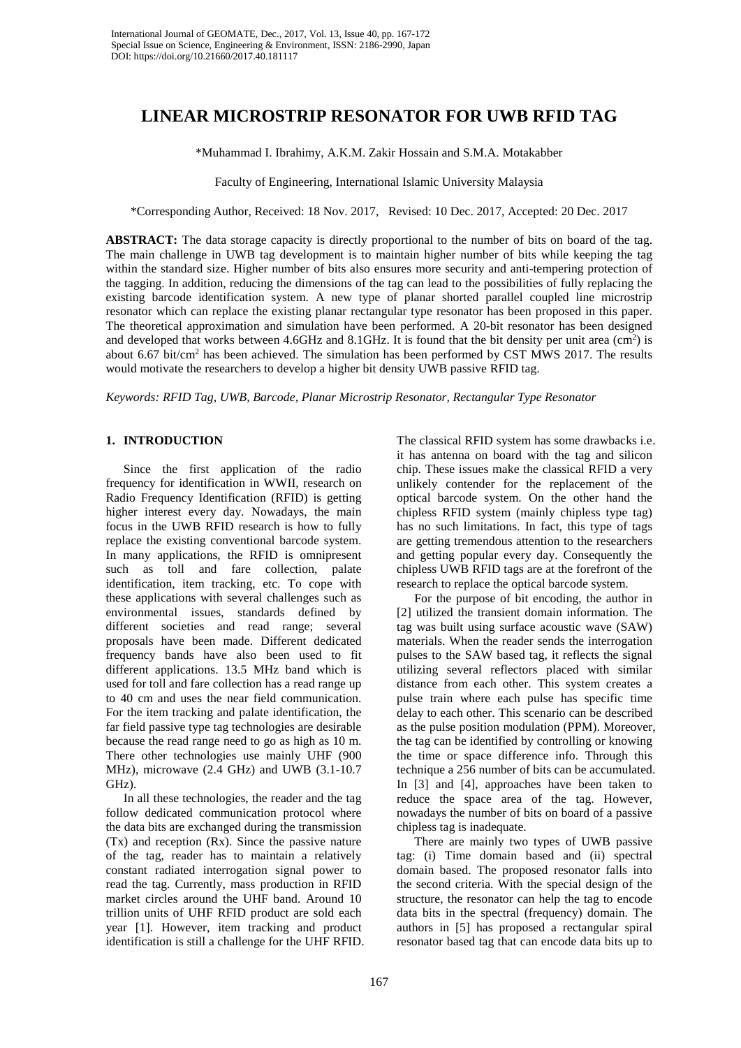# **LINEAR MICROSTRIP RESONATOR FOR UWB RFID TAG**

\*Muhammad I. Ibrahimy, A.K.M. Zakir Hossain and S.M.A. Motakabber

Faculty of Engineering, International Islamic University Malaysia

\*Corresponding Author, Received: 18 Nov. 2017, Revised: 10 Dec. 2017, Accepted: 20 Dec. 2017

**ABSTRACT:** The data storage capacity is directly proportional to the number of bits on board of the tag. The main challenge in UWB tag development is to maintain higher number of bits while keeping the tag within the standard size. Higher number of bits also ensures more security and anti-tempering protection of the tagging. In addition, reducing the dimensions of the tag can lead to the possibilities of fully replacing the existing barcode identification system. A new type of planar shorted parallel coupled line microstrip resonator which can replace the existing planar rectangular type resonator has been proposed in this paper. The theoretical approximation and simulation have been performed. A 20-bit resonator has been designed and developed that works between  $4.6$ GHz and  $8.1$ GHz. It is found that the bit density per unit area  $(cm<sup>2</sup>)$  is about 6.67 bit/cm<sup>2</sup> has been achieved. The simulation has been performed by CST MWS 2017. The results would motivate the researchers to develop a higher bit density UWB passive RFID tag.

*Keywords: RFID Tag, UWB, Barcode, Planar Microstrip Resonator, Rectangular Type Resonator*

# **1. INTRODUCTION**

Since the first application of the radio frequency for identification in WWII, research on Radio Frequency Identification (RFID) is getting higher interest every day. Nowadays, the main focus in the UWB RFID research is how to fully replace the existing conventional barcode system. In many applications, the RFID is omnipresent such as toll and fare collection, palate identification, item tracking, etc. To cope with these applications with several challenges such as environmental issues, standards defined by different societies and read range; several proposals have been made. Different dedicated frequency bands have also been used to fit different applications. 13.5 MHz band which is used for toll and fare collection has a read range up to 40 cm and uses the near field communication. For the item tracking and palate identification, the far field passive type tag technologies are desirable because the read range need to go as high as 10 m. There other technologies use mainly UHF (900 MHz), microwave (2.4 GHz) and UWB (3.1-10.7 GHz).

In all these technologies, the reader and the tag follow dedicated communication protocol where the data bits are exchanged during the transmission (Tx) and reception (Rx). Since the passive nature of the tag, reader has to maintain a relatively constant radiated interrogation signal power to read the tag. Currently, mass production in RFID market circles around the UHF band. Around 10 trillion units of UHF RFID product are sold each year [1]. However, item tracking and product identification is still a challenge for the UHF RFID. The classical RFID system has some drawbacks i.e. it has antenna on board with the tag and silicon chip. These issues make the classical RFID a very unlikely contender for the replacement of the optical barcode system. On the other hand the chipless RFID system (mainly chipless type tag) has no such limitations. In fact, this type of tags are getting tremendous attention to the researchers and getting popular every day. Consequently the chipless UWB RFID tags are at the forefront of the research to replace the optical barcode system.

For the purpose of bit encoding, the author in [2] utilized the transient domain information. The tag was built using surface acoustic wave (SAW) materials. When the reader sends the interrogation pulses to the SAW based tag, it reflects the signal utilizing several reflectors placed with similar distance from each other. This system creates a pulse train where each pulse has specific time delay to each other. This scenario can be described as the pulse position modulation (PPM). Moreover, the tag can be identified by controlling or knowing the time or space difference info. Through this technique a 256 number of bits can be accumulated. In [3] and [4], approaches have been taken to reduce the space area of the tag. However, nowadays the number of bits on board of a passive chipless tag is inadequate.

There are mainly two types of UWB passive tag: (i) Time domain based and (ii) spectral domain based. The proposed resonator falls into the second criteria. With the special design of the structure, the resonator can help the tag to encode data bits in the spectral (frequency) domain. The authors in [5] has proposed a rectangular spiral resonator based tag that can encode data bits up to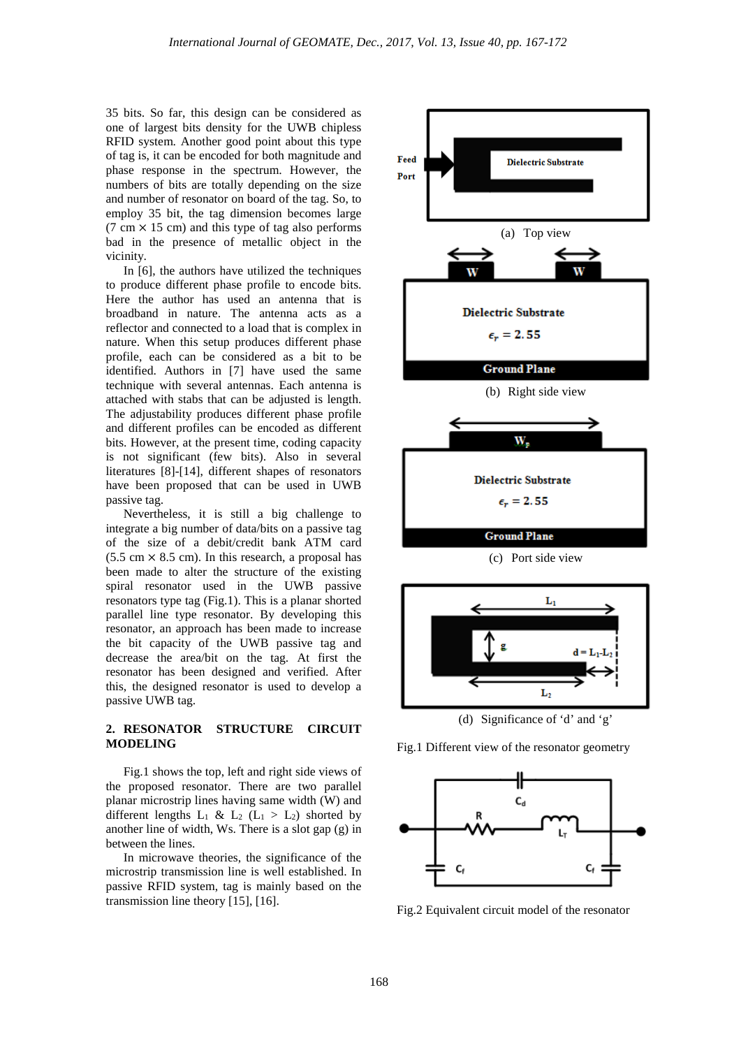35 bits. So far, this design can be considered as one of largest bits density for the UWB chipless RFID system. Another good point about this type of tag is, it can be encoded for both magnitude and phase response in the spectrum. However, the numbers of bits are totally depending on the size and number of resonator on board of the tag. So, to employ 35 bit, the tag dimension becomes large  $(7 \text{ cm} \times 15 \text{ cm})$  and this type of tag also performs bad in the presence of metallic object in the vicinity.

In [6], the authors have utilized the techniques to produce different phase profile to encode bits. Here the author has used an antenna that is broadband in nature. The antenna acts as a reflector and connected to a load that is complex in nature. When this setup produces different phase profile, each can be considered as a bit to be identified. Authors in [7] have used the same technique with several antennas. Each antenna is attached with stabs that can be adjusted is length. The adjustability produces different phase profile and different profiles can be encoded as different bits. However, at the present time, coding capacity is not significant (few bits). Also in several literatures [8]-[14], different shapes of resonators have been proposed that can be used in UWB passive tag.

Nevertheless, it is still a big challenge to integrate a big number of data/bits on a passive tag of the size of a debit/credit bank ATM card  $(5.5 \text{ cm} \times 8.5 \text{ cm})$ . In this research, a proposal has been made to alter the structure of the existing spiral resonator used in the UWB passive resonators type tag (Fig.1). This is a planar shorted parallel line type resonator. By developing this resonator, an approach has been made to increase the bit capacity of the UWB passive tag and decrease the area/bit on the tag. At first the resonator has been designed and verified. After this, the designed resonator is used to develop a passive UWB tag.

# **2. RESONATOR STRUCTURE CIRCUIT MODELING**

Fig.1 shows the top, left and right side views of the proposed resonator. There are two parallel planar microstrip lines having same width (W) and different lengths  $L_1 \& L_2 (L_1 > L_2)$  shorted by another line of width, Ws. There is a slot gap (g) in between the lines.

In microwave theories, the significance of the microstrip transmission line is well established. In passive RFID system, tag is mainly based on the transmission line theory [15], [16].





(d) Significance of 'd' and 'g'

Fig.1 Different view of the resonator geometry



Fig.2 Equivalent circuit model of the resonator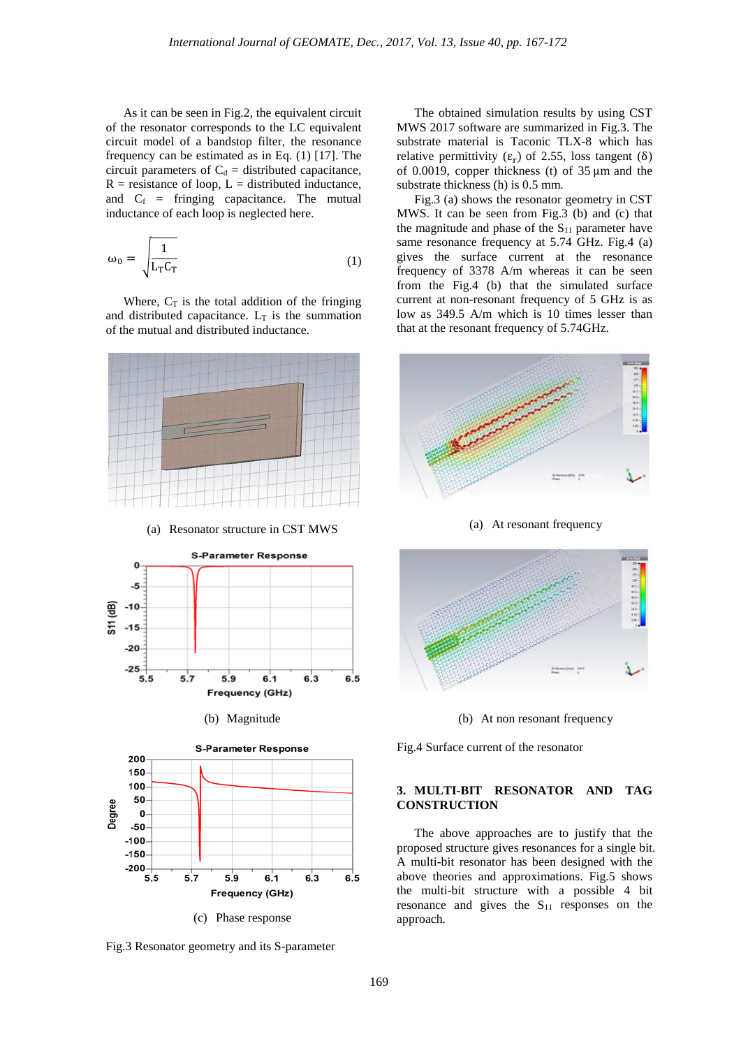As it can be seen in Fig.2, the equivalent circuit of the resonator corresponds to the LC equivalent circuit model of a bandstop filter, the resonance frequency can be estimated as in Eq. (1) [17]. The circuit parameters of  $C_d$  = distributed capacitance,  $R$  = resistance of loop,  $L$  = distributed inductance, and  $C_f$  = fringing capacitance. The mutual inductance of each loop is neglected here.

$$
\omega_0 = \sqrt{\frac{1}{L_T C_T}}
$$
\n(1)

Where,  $C_T$  is the total addition of the fringing and distributed capacitance.  $L_T$  is the summation of the mutual and distributed inductance.



(c) Phase response

Fig.3 Resonator geometry and its S-parameter

The obtained simulation results by using CST MWS 2017 software are summarized in Fig.3. The substrate material is Taconic TLX-8 which has relative permittivity  $(\varepsilon_r)$  of 2.55, loss tangent (δ) of 0.0019, copper thickness (t) of  $35 \mu m$  and the substrate thickness (h) is 0.5 mm.

Fig.3 (a) shows the resonator geometry in CST MWS. It can be seen from Fig.3 (b) and (c) that the magnitude and phase of the  $S_{11}$  parameter have same resonance frequency at 5.74 GHz. Fig.4 (a) gives the surface current at the resonance frequency of 3378 A/m whereas it can be seen from the Fig.4 (b) that the simulated surface current at non-resonant frequency of 5 GHz is as low as 349.5 A/m which is 10 times lesser than that at the resonant frequency of 5.74GHz.



(a) At resonant frequency



(b) At non resonant frequency

Fig.4 Surface current of the resonator

## **3. MULTI-BIT RESONATOR AND TAG CONSTRUCTION**

The above approaches are to justify that the proposed structure gives resonances for a single bit. A multi-bit resonator has been designed with the above theories and approximations. Fig.5 shows the multi-bit structure with a possible 4 bit resonance and gives the  $S<sub>11</sub>$  responses on the approach.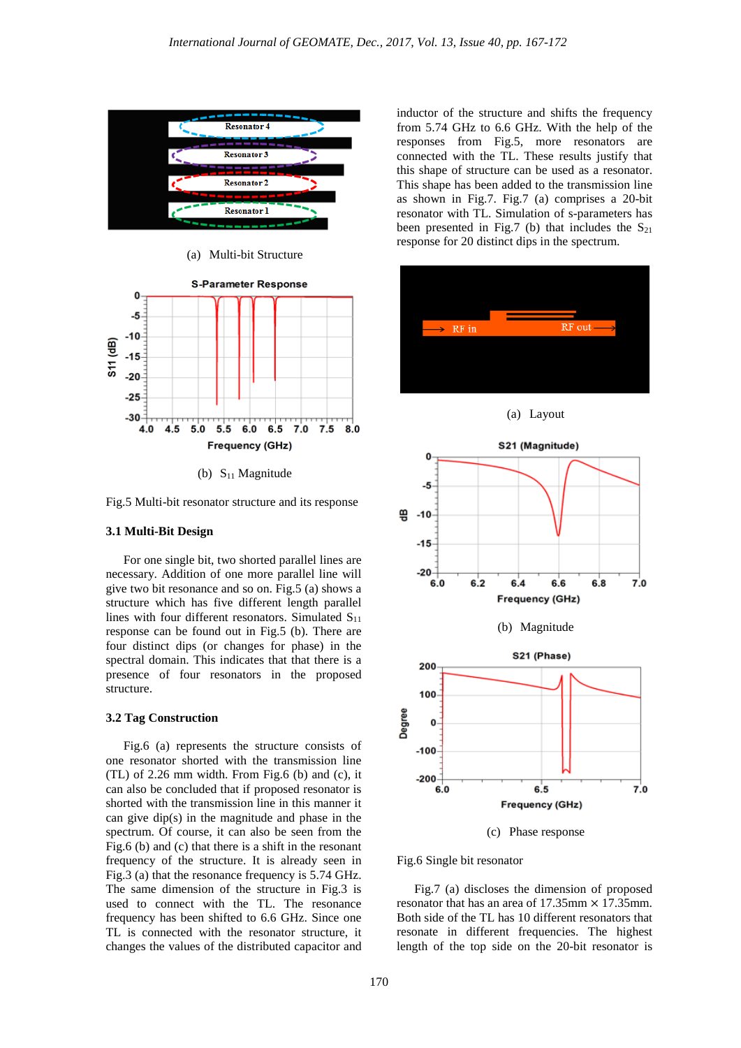

(a) Multi-bit Structure



(b)  $S_{11}$  Magnitude

Fig.5 Multi-bit resonator structure and its response

## **3.1 Multi-Bit Design**

For one single bit, two shorted parallel lines are necessary. Addition of one more parallel line will give two bit resonance and so on. Fig.5 (a) shows a structure which has five different length parallel lines with four different resonators. Simulated  $S_{11}$ response can be found out in Fig.5 (b). There are four distinct dips (or changes for phase) in the spectral domain. This indicates that that there is a presence of four resonators in the proposed structure.

## **3.2 Tag Construction**

Fig.6 (a) represents the structure consists of one resonator shorted with the transmission line (TL) of 2.26 mm width. From Fig.6 (b) and (c), it can also be concluded that if proposed resonator is shorted with the transmission line in this manner it can give dip(s) in the magnitude and phase in the spectrum. Of course, it can also be seen from the Fig.6 (b) and (c) that there is a shift in the resonant frequency of the structure. It is already seen in Fig.3 (a) that the resonance frequency is 5.74 GHz. The same dimension of the structure in Fig.3 is used to connect with the TL. The resonance frequency has been shifted to 6.6 GHz. Since one TL is connected with the resonator structure, it changes the values of the distributed capacitor and inductor of the structure and shifts the frequency from 5.74 GHz to 6.6 GHz. With the help of the responses from Fig.5, more resonators are connected with the TL. These results justify that this shape of structure can be used as a resonator. This shape has been added to the transmission line as shown in Fig.7. Fig.7 (a) comprises a 20-bit resonator with TL. Simulation of s-parameters has been presented in Fig.7 (b) that includes the  $S_{21}$ response for 20 distinct dips in the spectrum.



(c) Phase response

Fig.6 Single bit resonator

Fig.7 (a) discloses the dimension of proposed resonator that has an area of  $17.35$ mm  $\times$  17.35mm. Both side of the TL has 10 different resonators that resonate in different frequencies. The highest length of the top side on the 20-bit resonator is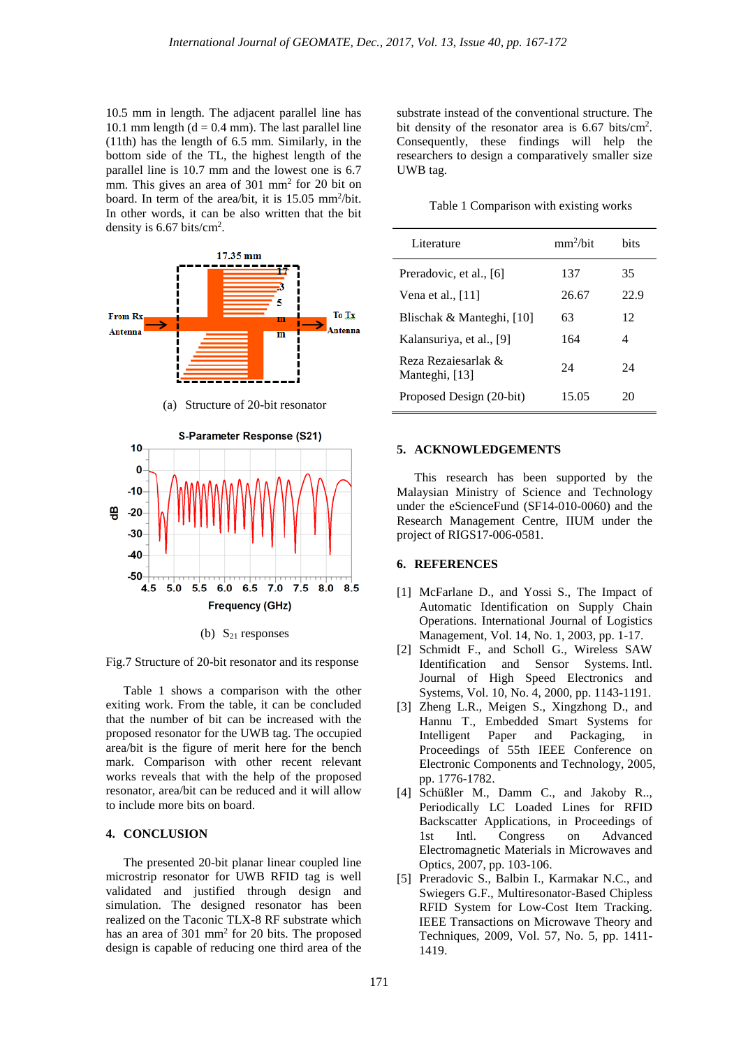10.5 mm in length. The adjacent parallel line has 10.1 mm length ( $d = 0.4$  mm). The last parallel line (11th) has the length of 6.5 mm. Similarly, in the bottom side of the TL, the highest length of the parallel line is 10.7 mm and the lowest one is 6.7 mm. This gives an area of 301 mm2 for 20 bit on board. In term of the area/bit, it is 15.05 mm<sup>2</sup>/bit. In other words, it can be also written that the bit density is  $6.67$  bits/cm<sup>2</sup>.



(b)  $S_{21}$  responses

Fig.7 Structure of 20-bit resonator and its response

Table 1 shows a comparison with the other exiting work. From the table, it can be concluded that the number of bit can be increased with the proposed resonator for the UWB tag. The occupied area/bit is the figure of merit here for the bench mark. Comparison with other recent relevant works reveals that with the help of the proposed resonator, area/bit can be reduced and it will allow to include more bits on board.

#### **4. CONCLUSION**

The presented 20-bit planar linear coupled line microstrip resonator for UWB RFID tag is well validated and justified through design and simulation. The designed resonator has been realized on the Taconic TLX-8 RF substrate which has an area of 301 mm2 for 20 bits. The proposed design is capable of reducing one third area of the

substrate instead of the conventional structure. The bit density of the resonator area is  $6.67$  bits/cm<sup>2</sup>. Consequently, these findings will help the researchers to design a comparatively smaller size UWB tag.

|  |  | Table 1 Comparison with existing works |  |
|--|--|----------------------------------------|--|
|--|--|----------------------------------------|--|

| Literature                            | mm <sup>2</sup> /hit | hits |
|---------------------------------------|----------------------|------|
| Preradovic, et al., [6]               | 137                  | 35   |
| Vena et al., $[11]$                   | 26.67                | 22.9 |
| Blischak & Manteghi, [10]             | 63                   | 12   |
| Kalansuriya, et al., [9]              | 164                  | 4    |
| Reza Rezajesarlak &<br>Manteghi, [13] | 24                   | 24   |
| Proposed Design (20-bit)              | 15.05                | 20   |

#### **5. ACKNOWLEDGEMENTS**

This research has been supported by the Malaysian Ministry of Science and Technology under the eScienceFund (SF14-010-0060) and the Research Management Centre, IIUM under the project of [RIGS17-006-0581.](https://rmsv2.iium.edu.my/researcher/research/RIGS17-006-0581/budget)

## **6. REFERENCES**

- [1] McFarlane D., and Yossi S., The Impact of Automatic Identification on Supply Chain Operations. International Journal of Logistics Management, Vol. 14, No. 1, 2003, pp. 1-17.
- [2] Schmidt F., and Scholl G., Wireless SAW Identification and Sensor Systems. Intl. Journal of High Speed Electronics and Systems, Vol. 10, No. 4, 2000, pp. 1143-1191.
- [3] Zheng L.R., Meigen S., Xingzhong D., and Hannu T., Embedded Smart Systems for Intelligent Paper and Packaging, in Proceedings of 55th IEEE Conference on Electronic Components and Technology, 2005, pp. 1776-1782.
- [4] Schüßler M., Damm C., and Jakoby R.., Periodically LC Loaded Lines for RFID Backscatter Applications, in Proceedings of 1st Intl. Congress on Advanced Electromagnetic Materials in Microwaves and Optics, 2007, pp. 103-106.
- [5] Preradovic S., Balbin I., Karmakar N.C., and Swiegers G.F., Multiresonator-Based Chipless RFID System for Low-Cost Item Tracking. IEEE Transactions on Microwave Theory and Techniques, 2009, Vol. 57, No. 5, pp. 1411- 1419.